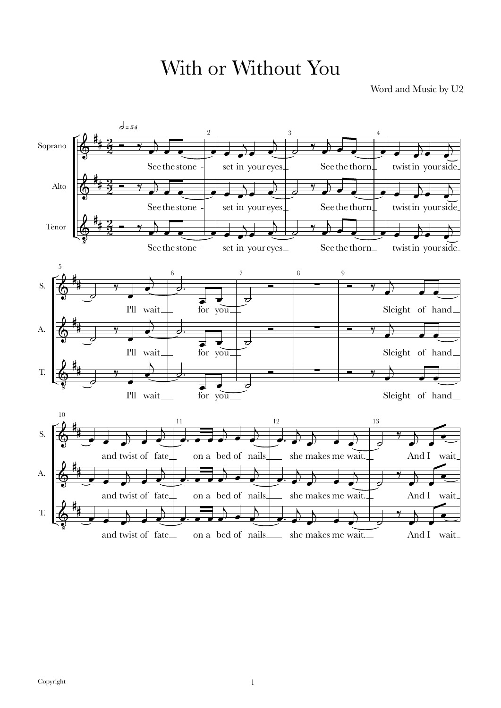With or Without You

Word and Music by U2

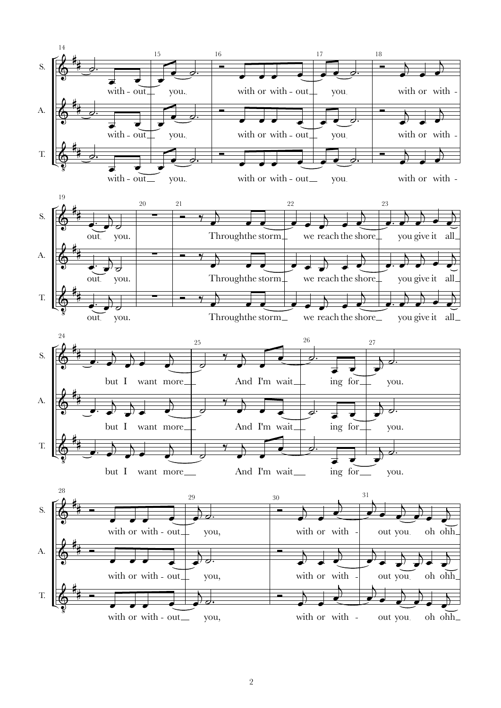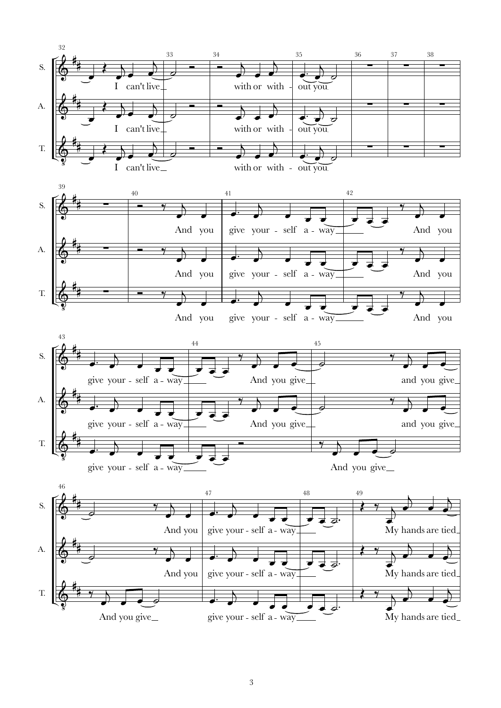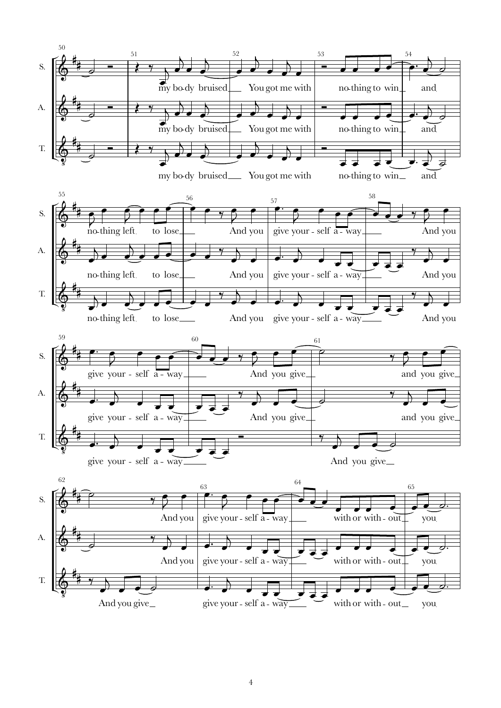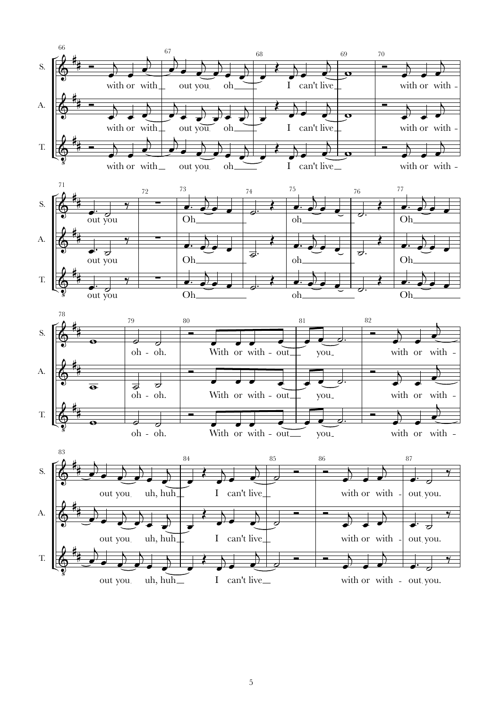







5